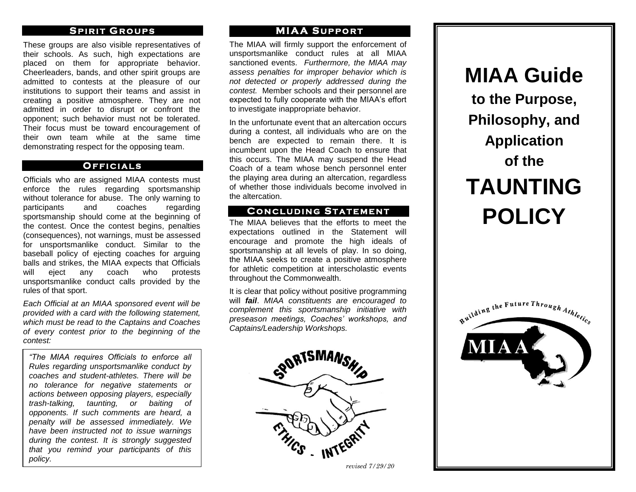### **SPIRIT GROUPS**

These groups are also visible representatives of their schools. As such, high expectations are placed on them for appropriate behavior. Cheerleaders, bands, and other spirit groups are admitted to contests at the pleasure of our institutions to support their teams and assist in creating a positive atmosphere. They are not admitted in order to disrupt or confront the opponent; such behavior must not be tolerated. Their focus must be toward encouragement of their own team while at the same time demonstrating respect for the opposing team.

### **O F F I C I A L S**

Officials who are assigned MIAA contests must enforce the rules regarding sportsmanship without tolerance for abuse. The only warning to participants and coaches regarding sportsmanship should come at the beginning of the contest. Once the contest begins, penalties (consequences), not warnings, must be assessed for unsportsmanlike conduct. Similar to the baseball policy of ejecting coaches for arguing balls and strikes, the MIAA expects that Officials will eject any coach who protests unsportsmanlike conduct calls provided by the rules of that sport.

*Each Official at an MIAA sponsored event will be provided with a card with the following statement, which must be read to the Captains and Coaches of every contest prior to the beginning of the contest:*

*"The MIAA requires Officials to enforce all Rules regarding unsportsmanlike conduct by coaches and student-athletes. There will be no tolerance for negative statements or actions between opposing players, especially trash-talking, taunting, or baiting of opponents. If such comments are heard, a penalty will be assessed immediately. We have been instructed not to issue warnings during the contest. It is strongly suggested that you remind your participants of this policy.*

### **M I A A S U P P O R T**

The MIAA will firmly support the enforcement of unsportsmanlike conduct rules at all MIAA sanctioned events. *Furthermore, the MIAA may assess penalties for improper behavior which is not detected or properly addressed during the contest.* Member schools and their personnel are expected to fully cooperate with the MIAA's effort to investigate inappropriate behavior.

In the unfortunate event that an altercation occurs during a contest, all individuals who are on the bench are expected to remain there. It is incumbent upon the Head Coach to ensure that this occurs. The MIAA may suspend the Head Coach of a team whose bench personnel enter the playing area during an altercation, regardless of whether those individuals become involved in the altercation.

### **C O N C L U D I N G ST A T E M E N T**

The MIAA believes that the efforts to meet the expectations outlined in the Statement will encourage and promote the high ideals of sportsmanship at all levels of play. In so doing, the MIAA seeks to create a positive atmosphere for athletic competition at interscholastic events throughout the Commonwealth.

It is clear that policy without positive programming will *fail*. *MIAA constituents are encouraged to complement this sportsmanship initiative with preseason meetings, Coaches' workshops, and Captains/Leadership Workshops.*



*revised 7/29/20*

# **MIAA Guide to the Purpose, Philosophy, and Application of the TAUNTING POLICY**